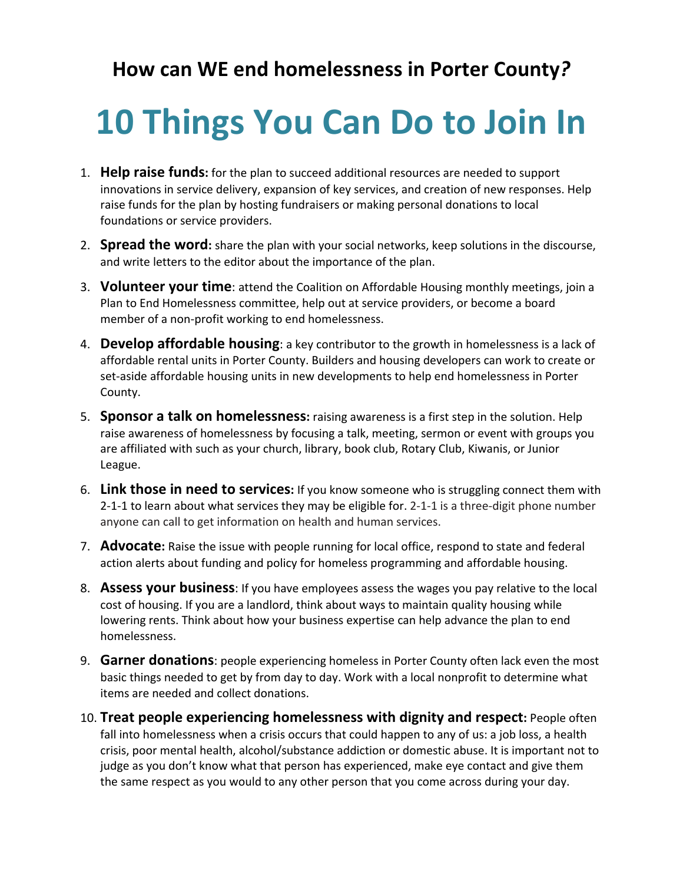## **How can WE end homelessness in Porter County***?*

## **10 Things You Can Do to Join In**

- 1. **Help raise funds:** for the plan to succeed additional resources are needed to support innovations in service delivery, expansion of key services, and creation of new responses. Help raise funds for the plan by hosting fundraisers or making personal donations to local foundations or service providers.
- 2. **Spread the word:** share the plan with your social networks, keep solutions in the discourse, and write letters to the editor about the importance of the plan.
- 3. **Volunteer your time**: attend the Coalition on Affordable Housing monthly meetings, join a Plan to End Homelessness committee, help out at service providers, or become a board member of a non‐profit working to end homelessness.
- 4. **Develop affordable housing**: a key contributor to the growth in homelessness is a lack of affordable rental units in Porter County. Builders and housing developers can work to create or set-aside affordable housing units in new developments to help end homelessness in Porter County.
- 5. **Sponsor a talk on homelessness:** raising awareness is a first step in the solution. Help raise awareness of homelessness by focusing a talk, meeting, sermon or event with groups you are affiliated with such as your church, library, book club, Rotary Club, Kiwanis, or Junior League.
- 6. **Link those in need to services:** If you know someone who is struggling connect them with 2‐1‐1 to learn about what services they may be eligible for. 2‐1‐1 is a three‐digit phone number anyone can call to get information on health and human services.
- 7. **Advocate:** Raise the issue with people running for local office, respond to state and federal action alerts about funding and policy for homeless programming and affordable housing.
- 8. **Assess your business**: If you have employees assess the wages you pay relative to the local cost of housing. If you are a landlord, think about ways to maintain quality housing while lowering rents. Think about how your business expertise can help advance the plan to end homelessness.
- 9. **Garner donations**: people experiencing homeless in Porter County often lack even the most basic things needed to get by from day to day. Work with a local nonprofit to determine what items are needed and collect donations.
- 10. **Treat people experiencing homelessness with dignity and respect:** People often fall into homelessness when a crisis occurs that could happen to any of us: a job loss, a health crisis, poor mental health, alcohol/substance addiction or domestic abuse. It is important not to judge as you don't know what that person has experienced, make eye contact and give them the same respect as you would to any other person that you come across during your day.